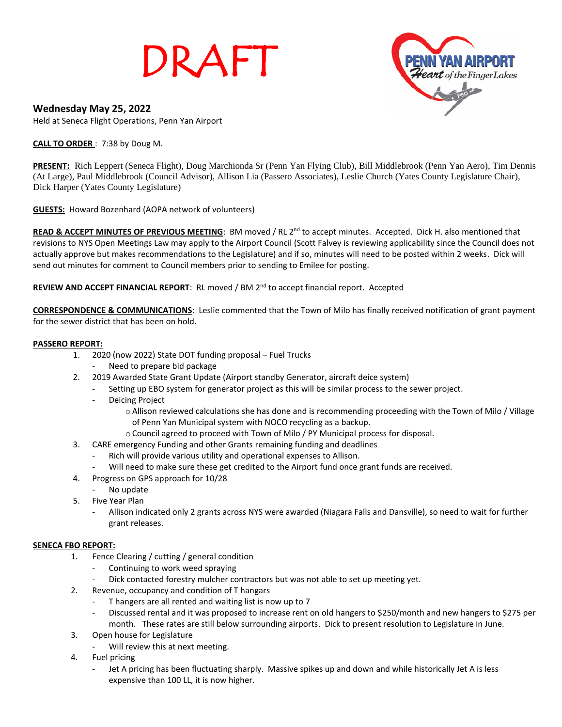# DRAFT



# **Wednesday May 25, 2022**

Held at Seneca Flight Operations, Penn Yan Airport

### **CALL TO ORDER** : 7:38 by Doug M.

**PRESENT:** Rich Leppert (Seneca Flight), Doug Marchionda Sr (Penn Yan Flying Club), Bill Middlebrook (Penn Yan Aero), Tim Dennis (At Large), Paul Middlebrook (Council Advisor), Allison Lia (Passero Associates), Leslie Church (Yates County Legislature Chair), Dick Harper (Yates County Legislature)

**GUESTS:** Howard Bozenhard (AOPA network of volunteers)

READ & ACCEPT MINUTES OF PREVIOUS MEETING: BM moved / RL 2<sup>nd</sup> to accept minutes. Accepted. Dick H. also mentioned that revisions to NYS Open Meetings Law may apply to the Airport Council (Scott Falvey is reviewing applicability since the Council does not actually approve but makes recommendations to the Legislature) and if so, minutes will need to be posted within 2 weeks. Dick will send out minutes for comment to Council members prior to sending to Emilee for posting.

# REVIEW AND ACCEPT FINANCIAL REPORT: RL moved / BM 2<sup>nd</sup> to accept financial report. Accepted

**CORRESPONDENCE & COMMUNICATIONS**: Leslie commented that the Town of Milo has finally received notification of grant payment for the sewer district that has been on hold.

# **PASSERO REPORT:**

- 1. 2020 (now 2022) State DOT funding proposal Fuel Trucks
	- Need to prepare bid package
- 2. 2019 Awarded State Grant Update (Airport standby Generator, aircraft deice system)
	- Setting up EBO system for generator project as this will be similar process to the sewer project.
	- Deicing Project
		- oAllison reviewed calculations she has done and is recommending proceeding with the Town of Milo / Village
			- of Penn Yan Municipal system with NOCO recycling as a backup.
		- $\circ$  Council agreed to proceed with Town of Milo / PY Municipal process for disposal.
- 3. CARE emergency Funding and other Grants remaining funding and deadlines
	- Rich will provide various utility and operational expenses to Allison.
	- Will need to make sure these get credited to the Airport fund once grant funds are received.
- 4. Progress on GPS approach for 10/28
	- No update
- 5. Five Year Plan
	- Allison indicated only 2 grants across NYS were awarded (Niagara Falls and Dansville), so need to wait for further grant releases.

#### **SENECA FBO REPORT:**

- 1. Fence Clearing / cutting / general condition
	- Continuing to work weed spraying
	- Dick contacted forestry mulcher contractors but was not able to set up meeting yet.
- 2. Revenue, occupancy and condition of T hangars
	- T hangers are all rented and waiting list is now up to 7
	- Discussed rental and it was proposed to increase rent on old hangers to \$250/month and new hangers to \$275 per month. These rates are still below surrounding airports. Dick to present resolution to Legislature in June.
- 3. Open house for Legislature
	- Will review this at next meeting.
- 4. Fuel pricing
	- Jet A pricing has been fluctuating sharply. Massive spikes up and down and while historically Jet A is less expensive than 100 LL, it is now higher.